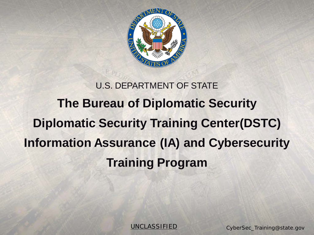

## U.S. DEPARTMENT OF STATE **The Bureau of Diplomatic Security Diplomatic Security Training Center(DSTC) Information Assurance (IA) and Cybersecurity Training Program**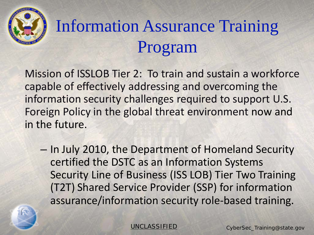

# Information Assurance Training Program

Mission of ISSLOB Tier 2: To train and sustain a workforce capable of effectively addressing and overcoming the information security challenges required to support U.S. Foreign Policy in the global threat environment now and in the future.

– In July 2010, the Department of Homeland Security certified the DSTC as an Information Systems Security Line of Business (ISS LOB) Tier Two Training (T2T) Shared Service Provider (SSP) for information assurance/information security role-based training.

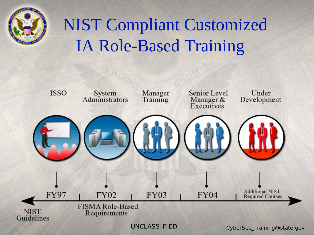

# NIST Compliant Customized IA Role-Based Training

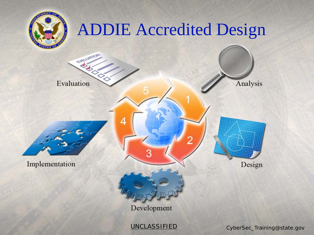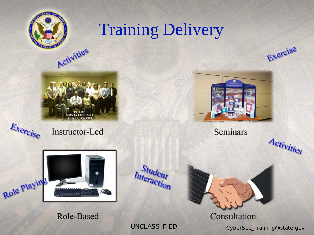

## **Training Delivery**



Activities









**Seminars** 

Consultation



Role-Based

**UNCLASSIFIED** 

Student Interaction

CyberSec\_Training@state.gov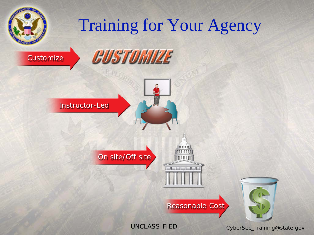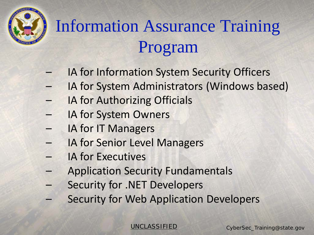# Information Assurance Training Program

- IA for Information System Security Officers
- IA for System Administrators (Windows based)
- IA for Authorizing Officials
- IA for System Owners
- IA for IT Managers
- IA for Senior Level Managers
- IA for Executives
- Application Security Fundamentals
- Security for .NET Developers
	- **Security for Web Application Developers**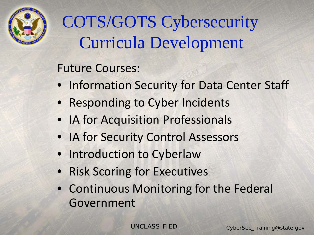

# COTS/GOTS Cybersecurity Curricula Development

#### Future Courses:

- Information Security for Data Center Staff
- Responding to Cyber Incidents
- IA for Acquisition Professionals
- IA for Security Control Assessors
- Introduction to Cyberlaw
- Risk Scoring for Executives
- Continuous Monitoring for the Federal Government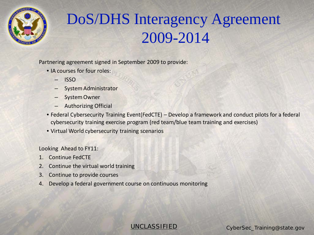

### DoS/DHS Interagency Agreement 2009-2014

Partnering agreement signed in September 2009 to provide:

- IA courses for four roles:
	- ISSO
	- System Administrator
	- System Owner
	- Authorizing Official
- Federal Cybersecurity Training Event(FedCTE) Develop a framework and conduct pilots for a federal cybersecurity training exercise program (red team/blue team training and exercises)
- Virtual World cybersecurity training scenarios

Looking Ahead to FY11:

- 1. Continue FedCTE
- 2. Continue the virtual world training
- 3. Continue to provide courses
- 4. Develop a federal government course on continuous monitoring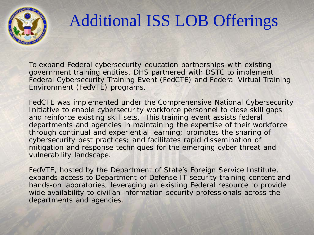

## Additional ISS LOB Offerings

To expand Federal cybersecurity education partnerships with existing government training entities, DHS partnered with DSTC to implement Federal Cybersecurity Training Event (FedCTE) and Federal Virtual Training Environment (FedVTE) programs.

FedCTE was implemented under the Comprehensive National Cybersecurity Initiative to enable cybersecurity workforce personnel to close skill gaps and reinforce existing skill sets. This training event assists federal departments and agencies in maintaining the expertise of their workforce through continual and experiential learning; promotes the sharing of cybersecurity best practices; and facilitates rapid dissemination of mitigation and response techniques for the emerging cyber threat and vulnerability landscape.

FedVTE, hosted by the Department of State's Foreign Service Institute, expands access to Department of Defense IT security training content and hands-on laboratories, leveraging an existing Federal resource to provide wide availability to civilian information security professionals across the departments and agencies.